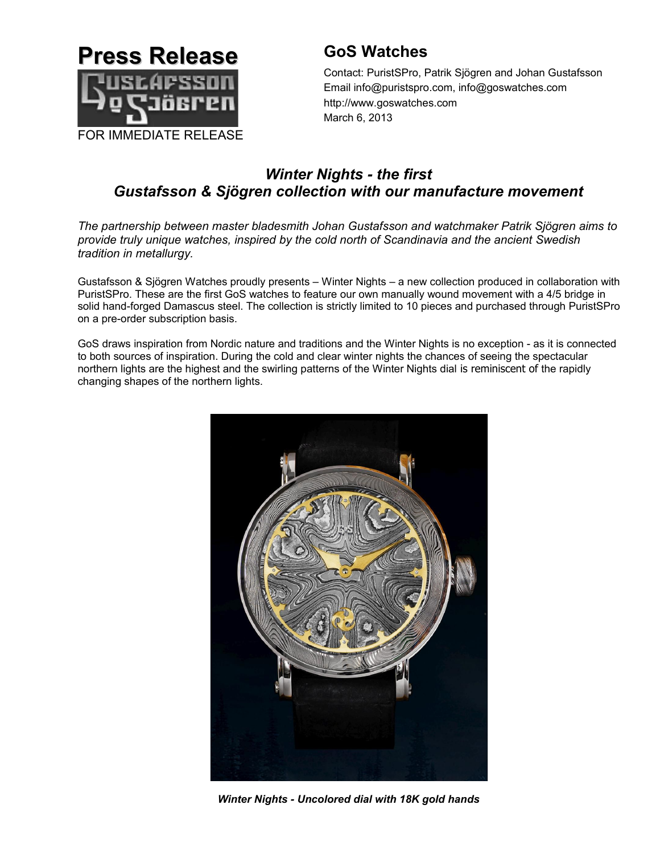

# **GoS Watches**

Contact: PuristSPro, Patrik Sjögren and Johan Gustafsson Email info@puristspro.com, info@goswatches.com http://www.goswatches.com March 6, 2013

# *Winter Nights - the first Gustafsson & Sjögren collection with our manufacture movement*

*The partnership between master bladesmith Johan Gustafsson and watchmaker Patrik Sjögren aims to provide truly unique watches, inspired by the cold north of Scandinavia and the ancient Swedish tradition in metallurgy.*

Gustafsson & Sjögren Watches proudly presents – Winter Nights – a new collection produced in collaboration with PuristSPro. These are the first GoS watches to feature our own manually wound movement with a 4/5 bridge in solid hand-forged Damascus steel. The collection is strictly limited to 10 pieces and purchased through PuristSPro on a pre-order subscription basis.

GoS draws inspiration from Nordic nature and traditions and the Winter Nights is no exception - as it is connected to both sources of inspiration. During the cold and clear winter nights the chances of seeing the spectacular northern lights are the highest and the swirling patterns of the Winter Nights dial is reminiscent of the rapidly changing shapes of the northern lights.



*Winter Nights - Uncolored dial with 18K gold hands*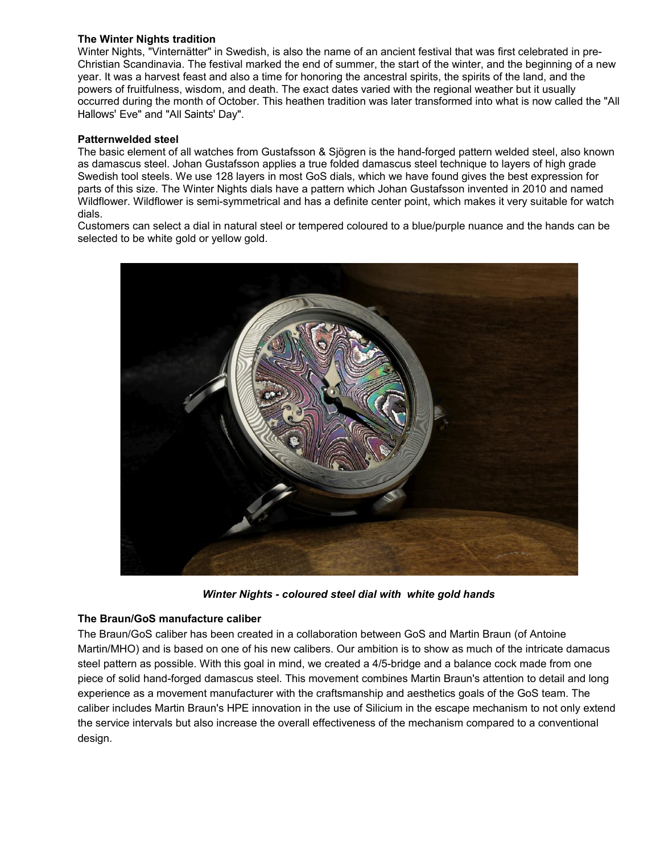## **The Winter Nights tradition**

Winter Nights, "Vinternätter" in Swedish, is also the name of an ancient festival that was first celebrated in pre-Christian Scandinavia. The festival marked the end of summer, the start of the winter, and the beginning of a new year. It was a harvest feast and also a time for honoring the ancestral spirits, the spirits of the land, and the powers of fruitfulness, wisdom, and death. The exact dates varied with the regional weather but it usually occurred during the month of October. This heathen tradition was later transformed into what is now called the "All Hallows' Eve" and "All Saints' Day".

### **Patternwelded steel**

The basic element of all watches from Gustafsson & Sjögren is the hand-forged pattern welded steel, also known as damascus steel. Johan Gustafsson applies a true folded damascus steel technique to layers of high grade Swedish tool steels. We use 128 layers in most GoS dials, which we have found gives the best expression for parts of this size. The Winter Nights dials have a pattern which Johan Gustafsson invented in 2010 and named Wildflower. Wildflower is semi-symmetrical and has a definite center point, which makes it very suitable for watch dials.

Customers can select a dial in natural steel or tempered coloured to a blue/purple nuance and the hands can be selected to be white gold or yellow gold.



*Winter Nights - coloured steel dial with white gold hands*

### **The Braun/GoS manufacture caliber**

The Braun/GoS caliber has been created in a collaboration between GoS and Martin Braun (of Antoine Martin/MHO) and is based on one of his new calibers. Our ambition is to show as much of the intricate damacus steel pattern as possible. With this goal in mind, we created a 4/5-bridge and a balance cock made from one piece of solid hand-forged damascus steel. This movement combines Martin Braun's attention to detail and long experience as a movement manufacturer with the craftsmanship and aesthetics goals of the GoS team. The caliber includes Martin Braun's HPE innovation in the use of Silicium in the escape mechanism to not only extend the service intervals but also increase the overall effectiveness of the mechanism compared to a conventional design.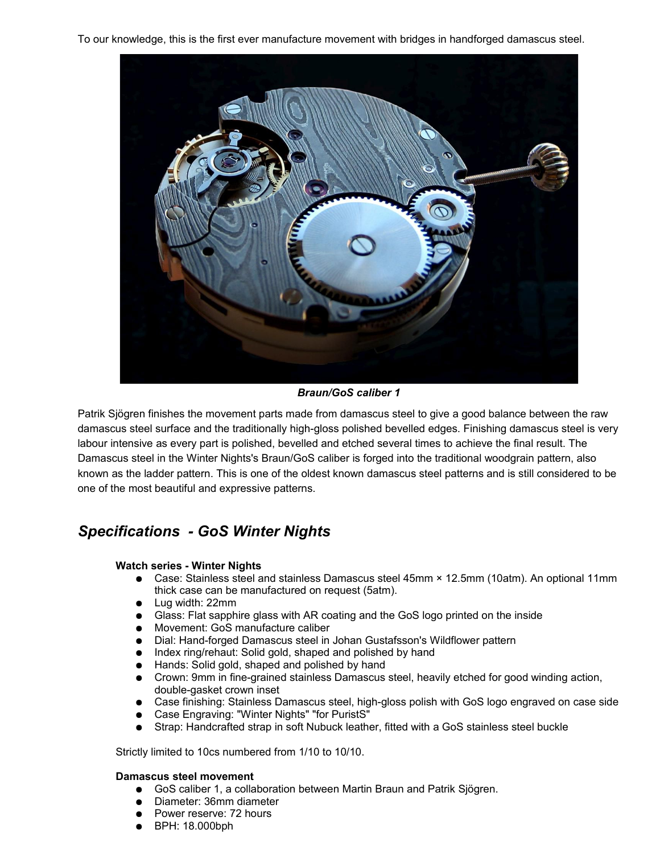To our knowledge, this is the first ever manufacture movement with bridges in handforged damascus steel.



*Braun/GoS caliber 1*

Patrik Sjögren finishes the movement parts made from damascus steel to give a good balance between the raw damascus steel surface and the traditionally high-gloss polished bevelled edges. Finishing damascus steel is very labour intensive as every part is polished, bevelled and etched several times to achieve the final result. The Damascus steel in the Winter Nights's Braun/GoS caliber is forged into the traditional woodgrain pattern, also known as the ladder pattern. This is one of the oldest known damascus steel patterns and is still considered to be one of the most beautiful and expressive patterns.

# *Specifications - GoS Winter Nights*

# **Watch series - Winter Nights**

- Case: Stainless steel and stainless Damascus steel 45mm × 12.5mm (10atm). An optional 11mm thick case can be manufactured on request (5atm).
- Lug width: 22mm
- Glass: Flat sapphire glass with AR coating and the GoS logo printed on the inside
- Movement: GoS manufacture caliber
- Dial: Hand-forged Damascus steel in Johan Gustafsson's Wildflower pattern
- Index ring/rehaut: Solid gold, shaped and polished by hand
- Hands: Solid gold, shaped and polished by hand
- Crown: 9mm in fine-grained stainless Damascus steel, heavily etched for good winding action, double-gasket crown inset
- Case finishing: Stainless Damascus steel, high-gloss polish with GoS logo engraved on case side
- Case Engraving: "Winter Nights" "for PuristS"
- Strap: Handcrafted strap in soft Nubuck leather, fitted with a GoS stainless steel buckle

Strictly limited to 10cs numbered from 1/10 to 10/10.

### **Damascus steel movement**

- GoS caliber 1, a collaboration between Martin Braun and Patrik Sjögren.
- Diameter: 36mm diameter
- Power reserve: 72 hours
- BPH: 18.000bph